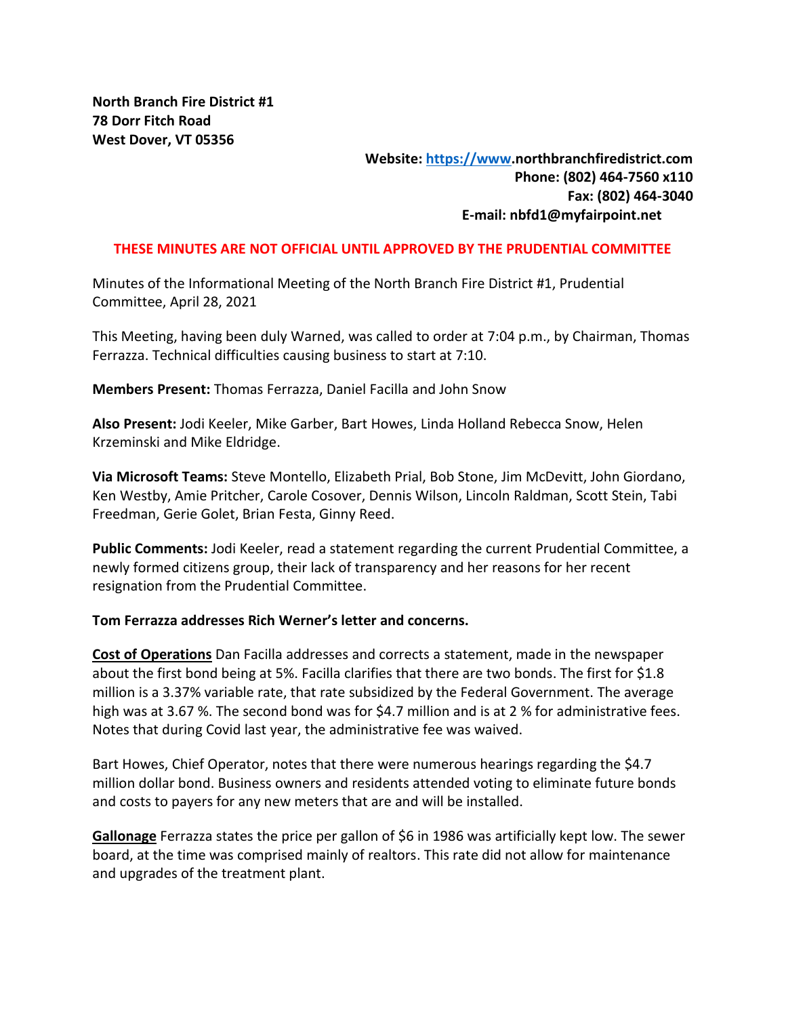# **Website: [https://www.](https://www/)northbranchfiredistrict.com Phone: (802) 464-7560 x110 Fax: (802) 464-3040 E-mail: nbfd1@myfairpoint.net**

### **THESE MINUTES ARE NOT OFFICIAL UNTIL APPROVED BY THE PRUDENTIAL COMMITTEE**

Minutes of the Informational Meeting of the North Branch Fire District #1, Prudential Committee, April 28, 2021

This Meeting, having been duly Warned, was called to order at 7:04 p.m., by Chairman, Thomas Ferrazza. Technical difficulties causing business to start at 7:10.

**Members Present:** Thomas Ferrazza, Daniel Facilla and John Snow

**Also Present:** Jodi Keeler, Mike Garber, Bart Howes, Linda Holland Rebecca Snow, Helen Krzeminski and Mike Eldridge.

**Via Microsoft Teams:** Steve Montello, Elizabeth Prial, Bob Stone, Jim McDevitt, John Giordano, Ken Westby, Amie Pritcher, Carole Cosover, Dennis Wilson, Lincoln Raldman, Scott Stein, Tabi Freedman, Gerie Golet, Brian Festa, Ginny Reed.

**Public Comments:** Jodi Keeler, read a statement regarding the current Prudential Committee, a newly formed citizens group, their lack of transparency and her reasons for her recent resignation from the Prudential Committee.

#### **Tom Ferrazza addresses Rich Werner's letter and concerns.**

**Cost of Operations** Dan Facilla addresses and corrects a statement, made in the newspaper about the first bond being at 5%. Facilla clarifies that there are two bonds. The first for \$1.8 million is a 3.37% variable rate, that rate subsidized by the Federal Government. The average high was at 3.67 %. The second bond was for \$4.7 million and is at 2 % for administrative fees. Notes that during Covid last year, the administrative fee was waived.

Bart Howes, Chief Operator, notes that there were numerous hearings regarding the \$4.7 million dollar bond. Business owners and residents attended voting to eliminate future bonds and costs to payers for any new meters that are and will be installed.

**Gallonage** Ferrazza states the price per gallon of \$6 in 1986 was artificially kept low. The sewer board, at the time was comprised mainly of realtors. This rate did not allow for maintenance and upgrades of the treatment plant.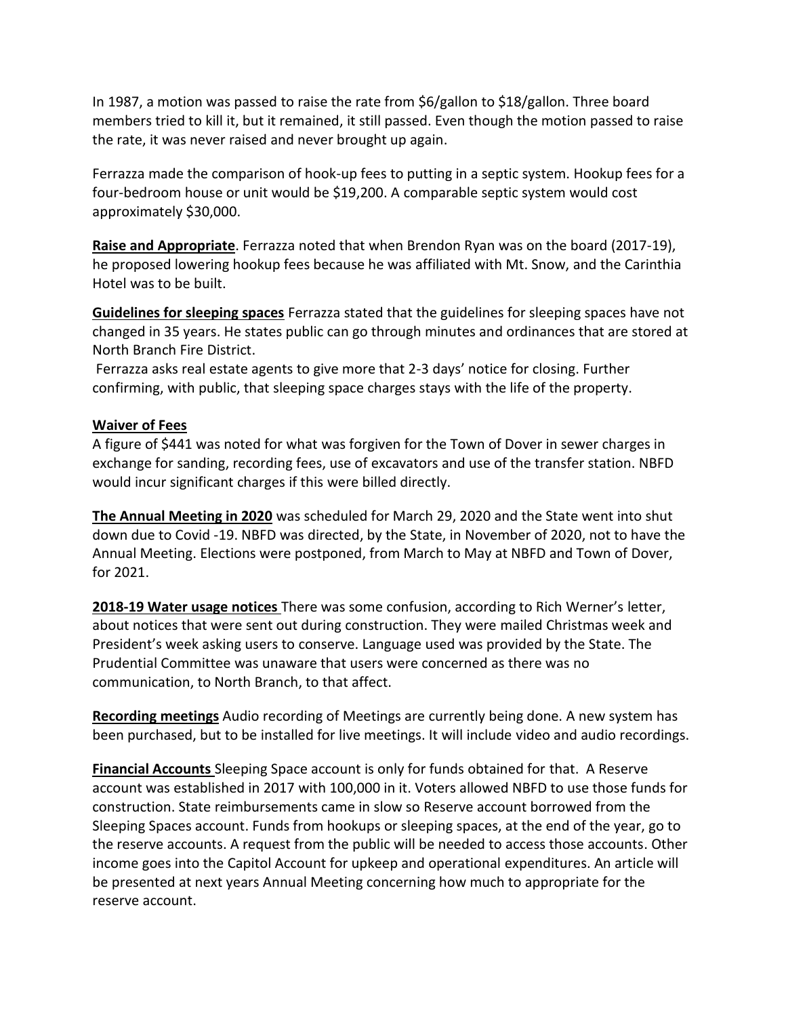In 1987, a motion was passed to raise the rate from \$6/gallon to \$18/gallon. Three board members tried to kill it, but it remained, it still passed. Even though the motion passed to raise the rate, it was never raised and never brought up again.

Ferrazza made the comparison of hook-up fees to putting in a septic system. Hookup fees for a four-bedroom house or unit would be \$19,200. A comparable septic system would cost approximately \$30,000.

**Raise and Appropriate**. Ferrazza noted that when Brendon Ryan was on the board (2017-19), he proposed lowering hookup fees because he was affiliated with Mt. Snow, and the Carinthia Hotel was to be built.

**Guidelines for sleeping spaces** Ferrazza stated that the guidelines for sleeping spaces have not changed in 35 years. He states public can go through minutes and ordinances that are stored at North Branch Fire District.

Ferrazza asks real estate agents to give more that 2-3 days' notice for closing. Further confirming, with public, that sleeping space charges stays with the life of the property.

## **Waiver of Fees**

A figure of \$441 was noted for what was forgiven for the Town of Dover in sewer charges in exchange for sanding, recording fees, use of excavators and use of the transfer station. NBFD would incur significant charges if this were billed directly.

**The Annual Meeting in 2020** was scheduled for March 29, 2020 and the State went into shut down due to Covid -19. NBFD was directed, by the State, in November of 2020, not to have the Annual Meeting. Elections were postponed, from March to May at NBFD and Town of Dover, for 2021.

**2018-19 Water usage notices** There was some confusion, according to Rich Werner's letter, about notices that were sent out during construction. They were mailed Christmas week and President's week asking users to conserve. Language used was provided by the State. The Prudential Committee was unaware that users were concerned as there was no communication, to North Branch, to that affect.

**Recording meetings** Audio recording of Meetings are currently being done. A new system has been purchased, but to be installed for live meetings. It will include video and audio recordings.

**Financial Accounts** Sleeping Space account is only for funds obtained for that. A Reserve account was established in 2017 with 100,000 in it. Voters allowed NBFD to use those funds for construction. State reimbursements came in slow so Reserve account borrowed from the Sleeping Spaces account. Funds from hookups or sleeping spaces, at the end of the year, go to the reserve accounts. A request from the public will be needed to access those accounts. Other income goes into the Capitol Account for upkeep and operational expenditures. An article will be presented at next years Annual Meeting concerning how much to appropriate for the reserve account.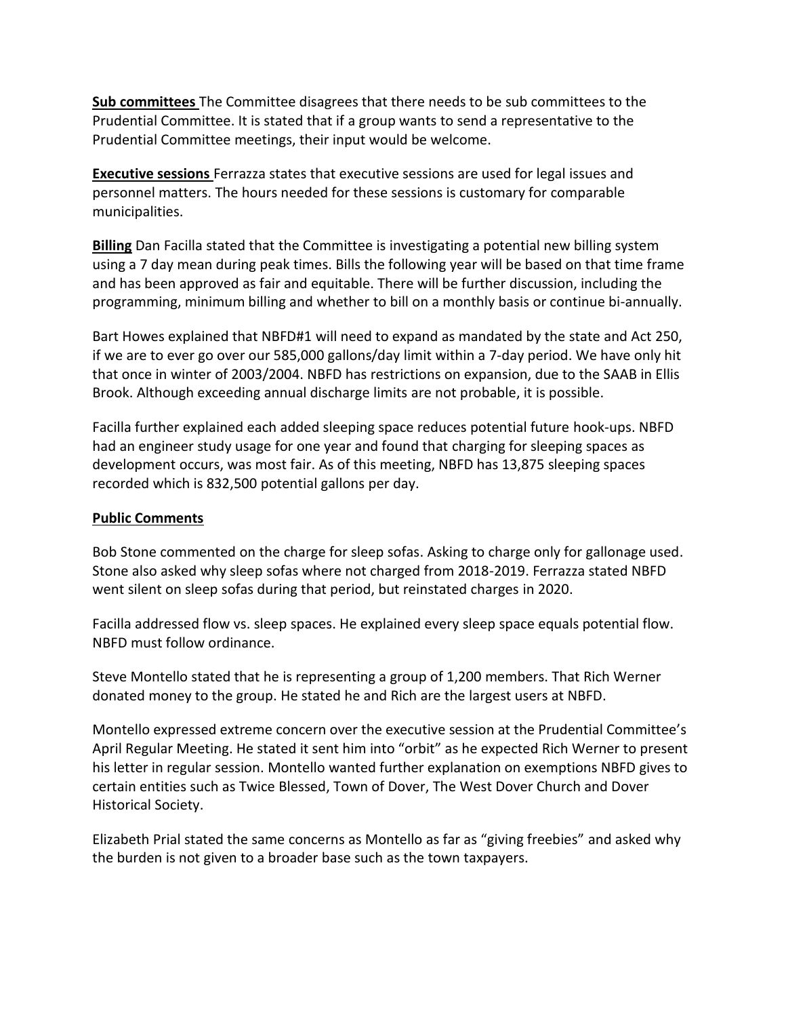**Sub committees** The Committee disagrees that there needs to be sub committees to the Prudential Committee. It is stated that if a group wants to send a representative to the Prudential Committee meetings, their input would be welcome.

**Executive sessions** Ferrazza states that executive sessions are used for legal issues and personnel matters. The hours needed for these sessions is customary for comparable municipalities.

**Billing** Dan Facilla stated that the Committee is investigating a potential new billing system using a 7 day mean during peak times. Bills the following year will be based on that time frame and has been approved as fair and equitable. There will be further discussion, including the programming, minimum billing and whether to bill on a monthly basis or continue bi-annually.

Bart Howes explained that NBFD#1 will need to expand as mandated by the state and Act 250, if we are to ever go over our 585,000 gallons/day limit within a 7-day period. We have only hit that once in winter of 2003/2004. NBFD has restrictions on expansion, due to the SAAB in Ellis Brook. Although exceeding annual discharge limits are not probable, it is possible.

Facilla further explained each added sleeping space reduces potential future hook-ups. NBFD had an engineer study usage for one year and found that charging for sleeping spaces as development occurs, was most fair. As of this meeting, NBFD has 13,875 sleeping spaces recorded which is 832,500 potential gallons per day.

## **Public Comments**

Bob Stone commented on the charge for sleep sofas. Asking to charge only for gallonage used. Stone also asked why sleep sofas where not charged from 2018-2019. Ferrazza stated NBFD went silent on sleep sofas during that period, but reinstated charges in 2020.

Facilla addressed flow vs. sleep spaces. He explained every sleep space equals potential flow. NBFD must follow ordinance.

Steve Montello stated that he is representing a group of 1,200 members. That Rich Werner donated money to the group. He stated he and Rich are the largest users at NBFD.

Montello expressed extreme concern over the executive session at the Prudential Committee's April Regular Meeting. He stated it sent him into "orbit" as he expected Rich Werner to present his letter in regular session. Montello wanted further explanation on exemptions NBFD gives to certain entities such as Twice Blessed, Town of Dover, The West Dover Church and Dover Historical Society.

Elizabeth Prial stated the same concerns as Montello as far as "giving freebies" and asked why the burden is not given to a broader base such as the town taxpayers.